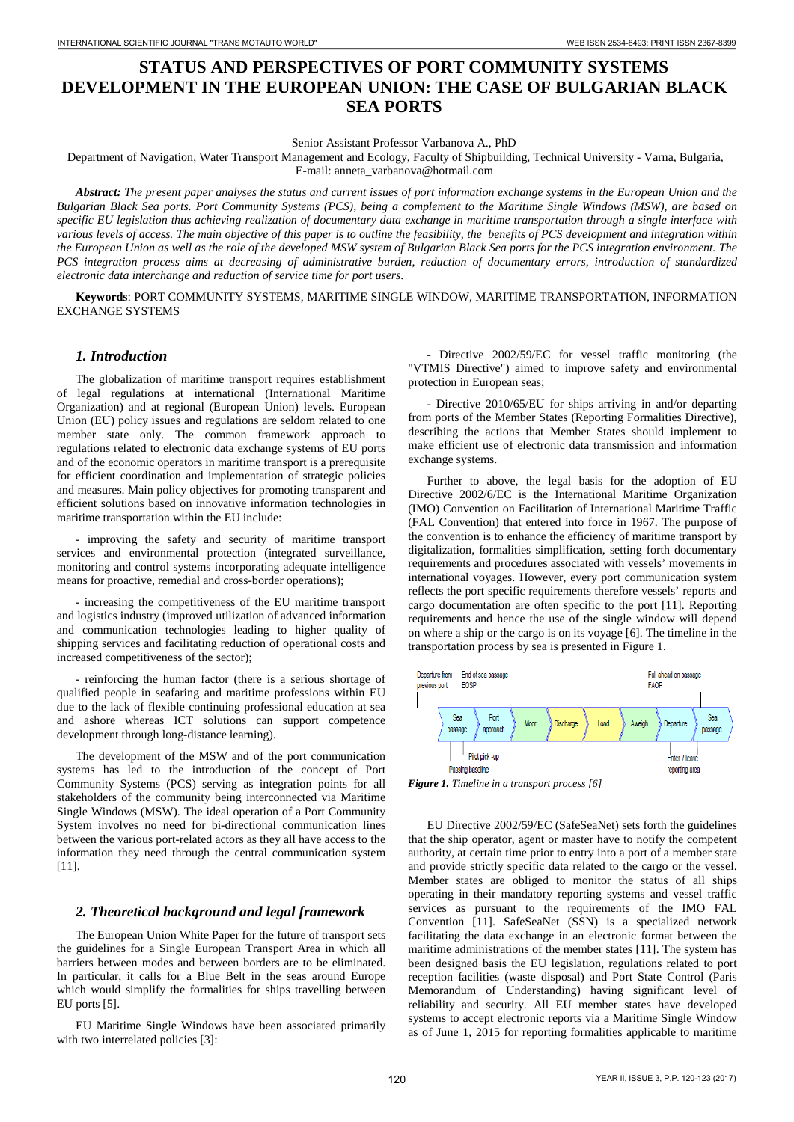# **STATUS AND PERSPECTIVES OF PORT COMMUNITY SYSTEMS DEVELOPMENT IN THE EUROPEAN UNION: THE CASE OF BULGARIAN BLACK SEA PORTS**

Senior Assistant Professor Varbanova A., PhD

Department of Navigation, Water Transport Management and Ecology, Faculty of Shipbuilding, Technical University - Varna, Bulgaria, E-mail: anneta\_varbanova@hotmail.com

*Abstract: The present paper analyses the status and current issues of port information exchange systems in the European Union and the Bulgarian Black Sea ports. Port Community Systems (PCS), being a complement to the Maritime Single Windows (MSW), are based on specific EU legislation thus achieving realization of documentary data exchange in maritime transportation through a single interface with various levels of access. The main objective of this paper is to outline the feasibility, the benefits of PCS development and integration within the European Union as well as the role of the developed MSW system of Bulgarian Black Sea ports for the PCS integration environment. The PCS integration process aims at decreasing of administrative burden, reduction of documentary errors, introduction of standardized electronic data interchange and reduction of service time for port users*.

**Keywords**: PORT COMMUNITY SYSTEMS, MARITIME SINGLE WINDOW, MARITIME TRANSPORTATION, INFORMATION EXCHANGE SYSTEMS

### *1. Introduction*

The globalization of maritime transport requires establishment of legal regulations at international (International Maritime Organization) and at regional (European Union) levels. European Union (EU) policy issues and regulations are seldom related to one member state only. The common framework approach to regulations related to electronic data exchange systems of EU ports and of the economic operators in maritime transport is a prerequisite for efficient coordination and implementation of strategic policies and measures. Main policy objectives for promoting transparent and efficient solutions based on innovative information technologies in maritime transportation within the EU include:

- improving the safety and security of maritime transport services and environmental protection (integrated surveillance, monitoring and control systems incorporating adequate intelligence means for proactive, remedial and cross-border operations);

- increasing the competitiveness of the EU maritime transport and logistics industry (improved utilization of advanced information and communication technologies leading to higher quality of shipping services and facilitating reduction of operational costs and increased competitiveness of the sector);

- reinforcing the human factor (there is a serious shortage of qualified people in seafaring and maritime professions within EU due to the lack of flexible continuing professional education at sea and ashore whereas ICT solutions can support competence development through long-distance learning).

The development of the MSW and of the port communication systems has led to the introduction of the concept of Port Community Systems (PCS) serving as integration points for all stakeholders of the community being interconnected via Maritime Single Windows (MSW). The ideal operation of a Port Community System involves no need for bi-directional communication lines between the various port-related actors as they all have access to the information they need through the central communication system [11].

### *2. Theoretical background and legal framework*

The European Union White Paper for the future of transport sets the guidelines for a Single European Transport Area in which all barriers between modes and between borders are to be eliminated. In particular, it calls for a Blue Belt in the seas around Europe which would simplify the formalities for ships travelling between EU ports [5].

EU Maritime Single Windows have been associated primarily with two interrelated policies [3]:

- Directive 2002/59/EC for vessel traffic monitoring (the "VTMIS Directive") aimed to improve safety and environmental protection in European seas;

- Directive 2010/65/EU for ships arriving in and/or departing from ports of the Member States (Reporting Formalities Directive), describing the actions that Member States should implement to make efficient use of electronic data transmission and information exchange systems.

Further to above, the legal basis for the adoption of EU Directive 2002/6/EC is the International Maritime Organization (IMO) Convention on Facilitation of International Maritime Traffic (FAL Convention) that entered into force in 1967. The purpose of the convention is to enhance the efficiency of maritime transport by digitalization, formalities simplification, setting forth documentary requirements and procedures associated with vessels' movements in international voyages. However, every port communication system reflects the port specific requirements therefore vessels' reports and cargo documentation are often specific to the port [11]. Reporting requirements and hence the use of the single window will depend on where a ship or the cargo is on its voyage [6]. The timeline in the transportation process by sea is presented in Figure 1.



*Figure 1. Timeline in a transport process [6]* 

EU Directive 2002/59/EC (SafeSeaNet) sets forth the guidelines that the ship operator, agent or master have to notify the competent authority, at certain time prior to entry into a port of a member state and provide strictly specific data related to the cargo or the vessel. Member states are obliged to monitor the status of all ships operating in their mandatory reporting systems and vessel traffic services as pursuant to the requirements of the IMO FAL Convention [11]. SafeSeaNet (SSN) is a specialized network facilitating the data exchange in an electronic format between the maritime administrations of the member states [11]. The system has been designed basis the EU legislation, regulations related to port reception facilities (waste disposal) and Port State Control (Paris Memorandum of Understanding) having significant level of reliability and security. All EU member states have developed systems to accept electronic reports via a Maritime Single Window as of June 1, 2015 for reporting formalities applicable to maritime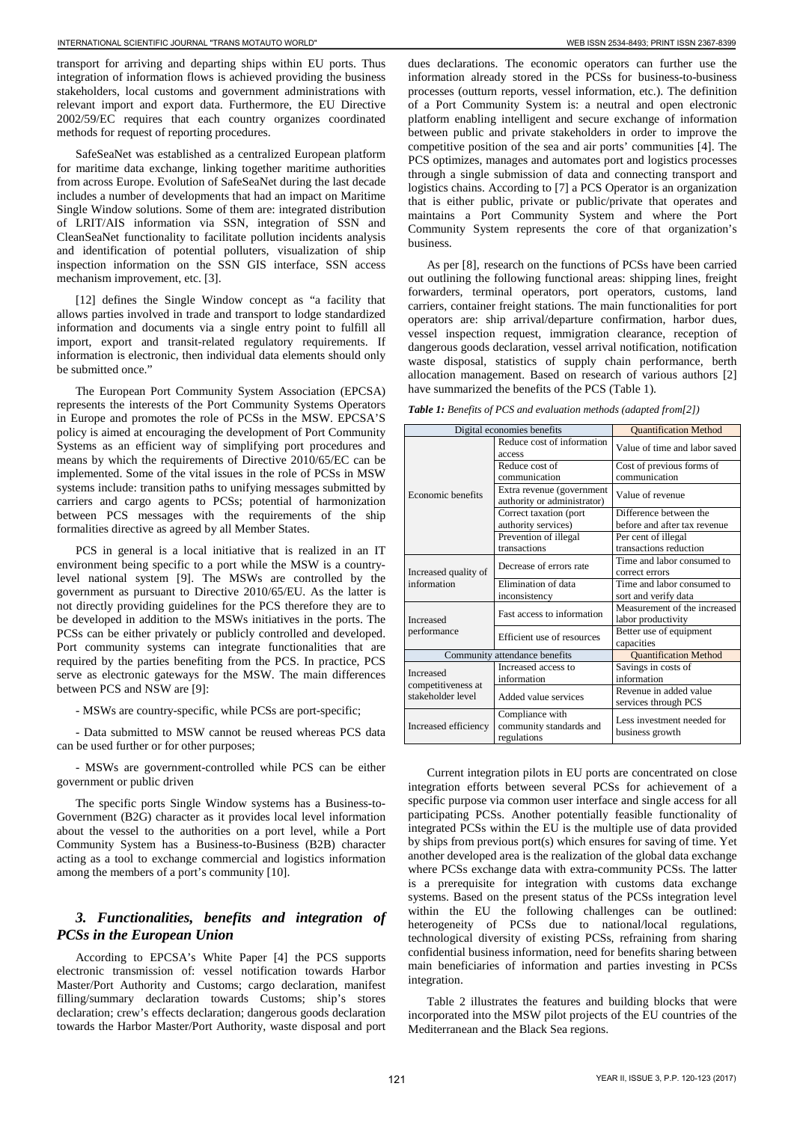transport for arriving and departing ships within EU ports. Thus integration of information flows is achieved providing the business stakeholders, local customs and government administrations with relevant import and export data. Furthermore, the EU Directive 2002/59/EC requires that each country organizes coordinated methods for request of reporting procedures.

SafeSeaNet was established as a centralized European platform for maritime data exchange, linking together maritime authorities from across Europe. Evolution of SafeSeaNet during the last decade includes a number of developments that had an impact on Maritime Single Window solutions. Some of them are: integrated distribution of LRIT/AIS information via SSN, integration of SSN and CleanSeaNet functionality to facilitate pollution incidents analysis and identification of potential polluters, visualization of ship inspection information on the SSN GIS interface, SSN access mechanism improvement, etc. [3].

[12] defines the Single Window concept as "a facility that allows parties involved in trade and transport to lodge standardized information and documents via a single entry point to fulfill all import, export and transit-related regulatory requirements. If information is electronic, then individual data elements should only be submitted once."

The European Port Community System Association (EPCSA) represents the interests of the Port Community Systems Operators in Europe and promotes the role of PCSs in the MSW. EPCSA'S policy is aimed at encouraging the development of Port Community Systems as an efficient way of simplifying port procedures and means by which the requirements of Directive 2010/65/EC can be implemented. Some of the vital issues in the role of PCSs in MSW systems include: transition paths to unifying messages submitted by carriers and cargo agents to PCSs; potential of harmonization between PCS messages with the requirements of the ship formalities directive as agreed by all Member States.

PCS in general is a local initiative that is realized in an IT environment being specific to a port while the MSW is a countrylevel national system [9]. The MSWs are controlled by the government as pursuant to Directive 2010/65/EU. As the latter is not directly providing guidelines for the PCS therefore they are to be developed in addition to the MSWs initiatives in the ports. The PCSs can be either privately or publicly controlled and developed. Port community systems can integrate functionalities that are required by the parties benefiting from the PCS. In practice, PCS serve as electronic gateways for the MSW. The main differences between PCS and NSW are [9]:

- MSWs are country-specific, while PCSs are port-specific;

- Data submitted to MSW cannot be reused whereas PCS data can be used further or for other purposes;

- MSWs are government-controlled while PCS can be either government or public driven

The specific ports Single Window systems has a Business-to-Government (B2G) character as it provides local level information about the vessel to the authorities on a port level, while a Port Community System has a Business-to-Business (B2B) character acting as a tool to exchange commercial and logistics information among the members of a port's community [10].

# *3. Functionalities, benefits and integration of PCSs in the European Union*

According to EPCSA's White Paper [4] the PCS supports electronic transmission of: vessel notification towards Harbor Master/Port Authority and Customs; cargo declaration, manifest filling/summary declaration towards Customs; ship's stores declaration; crew's effects declaration; dangerous goods declaration towards the Harbor Master/Port Authority, waste disposal and port

dues declarations. The economic operators can further use the information already stored in the PCSs for business-to-business processes (outturn reports, vessel information, etc.). The definition of a Port Community System is: a neutral and open electronic platform enabling intelligent and secure exchange of information between public and private stakeholders in order to improve the competitive position of the sea and air ports' communities [4]. The PCS optimizes, manages and automates port and logistics processes through a single submission of data and connecting transport and logistics chains. According to [7] a PCS Operator is an organization that is either public, private or public/private that operates and maintains a Port Community System and where the Port Community System represents the core of that organization's business.

As per [8], research on the functions of PCSs have been carried out outlining the following functional areas: shipping lines, freight forwarders, terminal operators, port operators, customs, land carriers, container freight stations. The main functionalities for port operators are: ship arrival/departure confirmation, harbor dues, vessel inspection request, immigration clearance, reception of dangerous goods declaration, vessel arrival notification, notification waste disposal, statistics of supply chain performance, berth allocation management. Based on research of various authors [2] have summarized the benefits of the PCS (Table 1).

|                                                             | Digital economies benefits                                | <b>Quantification Method</b>                       |  |  |
|-------------------------------------------------------------|-----------------------------------------------------------|----------------------------------------------------|--|--|
| Economic benefits                                           | Reduce cost of information<br>access                      | Value of time and labor saved                      |  |  |
|                                                             | Reduce cost of<br>communication                           | Cost of previous forms of<br>communication         |  |  |
|                                                             | Extra revenue (government<br>authority or administrator)  | Value of revenue                                   |  |  |
|                                                             | Correct taxation (port                                    | Difference between the                             |  |  |
|                                                             | authority services)                                       | before and after tax revenue                       |  |  |
|                                                             | Prevention of illegal                                     | Per cent of illegal                                |  |  |
|                                                             | transactions                                              | transactions reduction                             |  |  |
| Increased quality of<br>information                         | Decrease of errors rate                                   | Time and labor consumed to                         |  |  |
|                                                             |                                                           | correct errors                                     |  |  |
|                                                             | Elimination of data                                       | Time and labor consumed to                         |  |  |
|                                                             | inconsistency                                             | sort and verify data                               |  |  |
| <b>Increased</b><br>performance                             | Fast access to information                                | Measurement of the increased<br>labor productivity |  |  |
|                                                             | Efficient use of resources                                | Better use of equipment<br>capacities              |  |  |
|                                                             | Community attendance benefits                             | <b>Ouantification Method</b>                       |  |  |
| <b>Increased</b><br>competitiveness at<br>stakeholder level | Increased access to<br>information                        | Savings in costs of<br>information                 |  |  |
|                                                             | Added value services                                      | Revenue in added value<br>services through PCS     |  |  |
| Increased efficiency                                        | Compliance with<br>community standards and<br>regulations | Less investment needed for<br>business growth      |  |  |

*Table 1: Benefits of PCS and evaluation methods (adapted from[2])*

Current integration pilots in EU ports are concentrated on close integration efforts between several PCSs for achievement of a specific purpose via common user interface and single access for all participating PCSs. Another potentially feasible functionality of integrated PCSs within the EU is the multiple use of data provided by ships from previous port(s) which ensures for saving of time. Yet another developed area is the realization of the global data exchange where PCSs exchange data with extra-community PCSs. The latter is a prerequisite for integration with customs data exchange systems. Based on the present status of the PCSs integration level within the EU the following challenges can be outlined: heterogeneity of PCSs due to national/local regulations, technological diversity of existing PCSs, refraining from sharing confidential business information, need for benefits sharing between main beneficiaries of information and parties investing in PCSs integration.

Table 2 illustrates the features and building blocks that were incorporated into the MSW pilot projects of the EU countries of the Mediterranean and the Black Sea regions.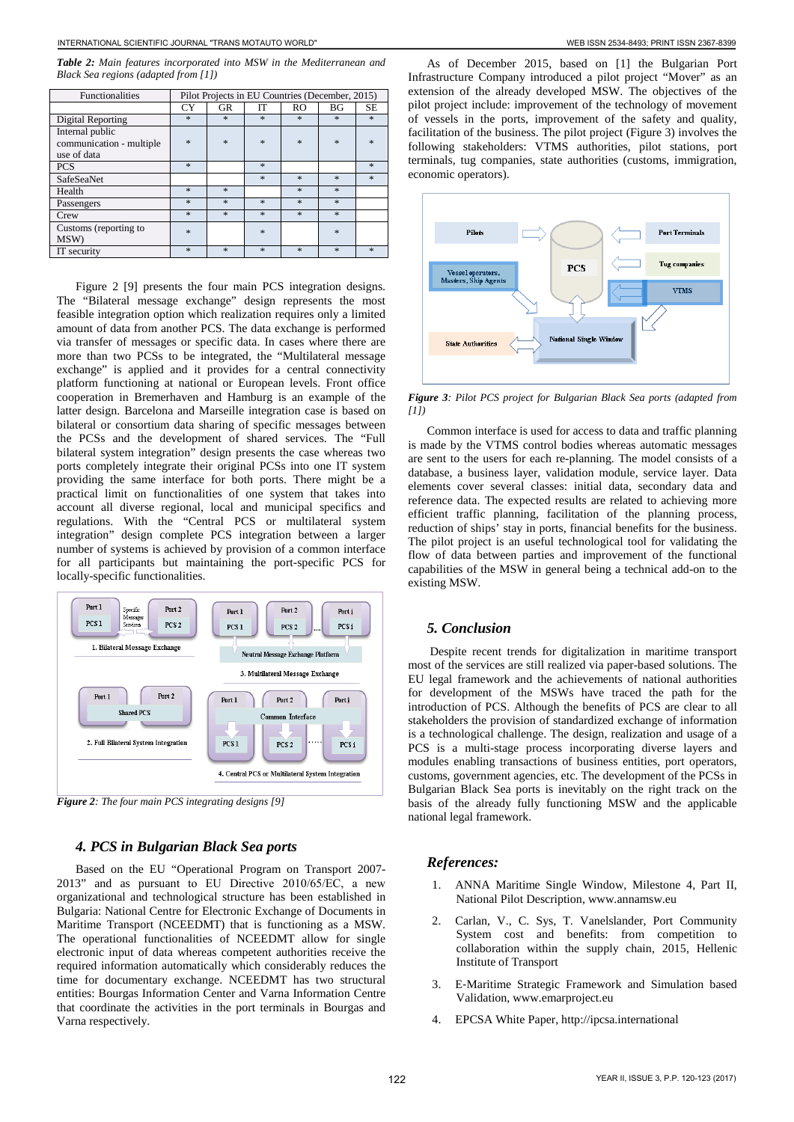*Table 2: Main features incorporated into MSW in the Mediterranean and Black Sea regions (adapted from [1])*

| <b>Functionalities</b>                                     | Pilot Projects in EU Countries (December, 2015) |        |        |           |        |        |
|------------------------------------------------------------|-------------------------------------------------|--------|--------|-----------|--------|--------|
|                                                            | CY                                              | GR     | ľТ     | <b>RO</b> | ΒG     | SЕ     |
| Digital Reporting                                          | $*$                                             | $\ast$ | $*$    | $\ast$    | $\ast$ | $\ast$ |
| Internal public<br>communication - multiple<br>use of data | $*$                                             | $\ast$ | $\ast$ | $\ast$    | $\ast$ | $\ast$ |
| <b>PCS</b>                                                 | $*$                                             |        | $\ast$ |           |        | $\ast$ |
| SafeSeaNet                                                 |                                                 |        | $*$    | $\ast$    | $\ast$ | $\ast$ |
| Health                                                     | $*$                                             | $\ast$ |        | $\ast$    | $\ast$ |        |
| Passengers                                                 | $*$                                             | $\ast$ | $\ast$ | $*$       | $\ast$ |        |
| Crew                                                       | $\ast$                                          | $\ast$ | $\ast$ | $\ast$    | $\ast$ |        |
| Customs (reporting to<br>MSW)                              | $\ast$                                          |        | $\ast$ |           | $\ast$ |        |
| IT security                                                | $*$                                             | $\ast$ | $*$    | $\ast$    | $\ast$ | $\ast$ |

Figure 2 [9] presents the four main PCS integration designs. The "Bilateral message exchange" design represents the most feasible integration option which realization requires only a limited amount of data from another PCS. The data exchange is performed via transfer of messages or specific data. In cases where there are more than two PCSs to be integrated, the "Multilateral message exchange" is applied and it provides for a central connectivity platform functioning at national or European levels. Front office cooperation in Bremerhaven and Hamburg is an example of the latter design. Barcelona and Marseille integration case is based on bilateral or consortium data sharing of specific messages between the PCSs and the development of shared services. The "Full bilateral system integration" design presents the case whereas two ports completely integrate their original PCSs into one IT system providing the same interface for both ports. There might be a practical limit on functionalities of one system that takes into account all diverse regional, local and municipal specifics and regulations. With the "Central PCS or multilateral system integration" design complete PCS integration between a larger number of systems is achieved by provision of a common interface for all participants but maintaining the port-specific PCS for locally-specific functionalities.



*Figure 2: The four main PCS integrating designs [9]*

## *4. PCS in Bulgarian Black Sea ports*

Based on the EU "Operational Program on Transport 2007- 2013" and as pursuant to EU Directive 2010/65/ЕС, a new organizational and technological structure has been established in Bulgaria: National Centre for Electronic Exchange of Documents in Maritime Transport (NCEEDMT) that is functioning as a MSW. The operational functionalities of NCEEDMT allow for single electronic input of data whereas competent authorities receive the required information automatically which considerably reduces the time for documentary exchange. NCEEDMT has two structural entities: Bourgas Information Center and Varna Information Centre that coordinate the activities in the port terminals in Bourgas and Varna respectively.

As of December 2015, based on [1] the Bulgarian Port Infrastructure Company introduced a pilot project "Mover" as an extension of the already developed MSW. The objectives of the pilot project include: improvement of the technology of movement of vessels in the ports, improvement of the safety and quality, facilitation of the business. The pilot project (Figure 3) involves the following stakeholders: VTMS authorities, pilot stations, port terminals, tug companies, state authorities (customs, immigration, economic operators).



*Figure 3: Pilot PCS project for Bulgarian Black Sea ports (adapted from [1])*

Common interface is used for access to data and traffic planning is made by the VTMS control bodies whereas automatic messages are sent to the users for each re-planning. The model consists of a database, a business layer, validation module, service layer. Data elements cover several classes: initial data, secondary data and reference data. The expected results are related to achieving more efficient traffic planning, facilitation of the planning process, reduction of ships' stay in ports, financial benefits for the business. The pilot project is an useful technological tool for validating the flow of data between parties and improvement of the functional capabilities of the MSW in general being a technical add-on to the existing MSW.

#### *5. Conclusion*

Despite recent trends for digitalization in maritime transport most of the services are still realized via paper-based solutions. The EU legal framework and the achievements of national authorities for development of the MSWs have traced the path for the introduction of PCS. Although the benefits of PCS are clear to all stakeholders the provision of standardized exchange of information is a technological challenge. The design, realization and usage of a PCS is a multi-stage process incorporating diverse layers and modules enabling transactions of business entities, port operators, customs, government agencies, etc. The development of the PCSs in Bulgarian Black Sea ports is inevitably on the right track on the basis of the already fully functioning MSW and the applicable national legal framework.

#### *References:*

- 1. ANNA Maritime Single Window, Milestone 4, Part II, National Pilot Description, www.annamsw.eu
- 2. Carlan, V., C. Sys, T. Vanelslander, Port Community System cost and benefits: from competition to collaboration within the supply chain, 2015, Hellenic Institute of Transport
- 3. E‐Maritime Strategic Framework and Simulation based Validation, www.emarproject.eu
- 4. EPCSA White Paper, http://ipcsa.international